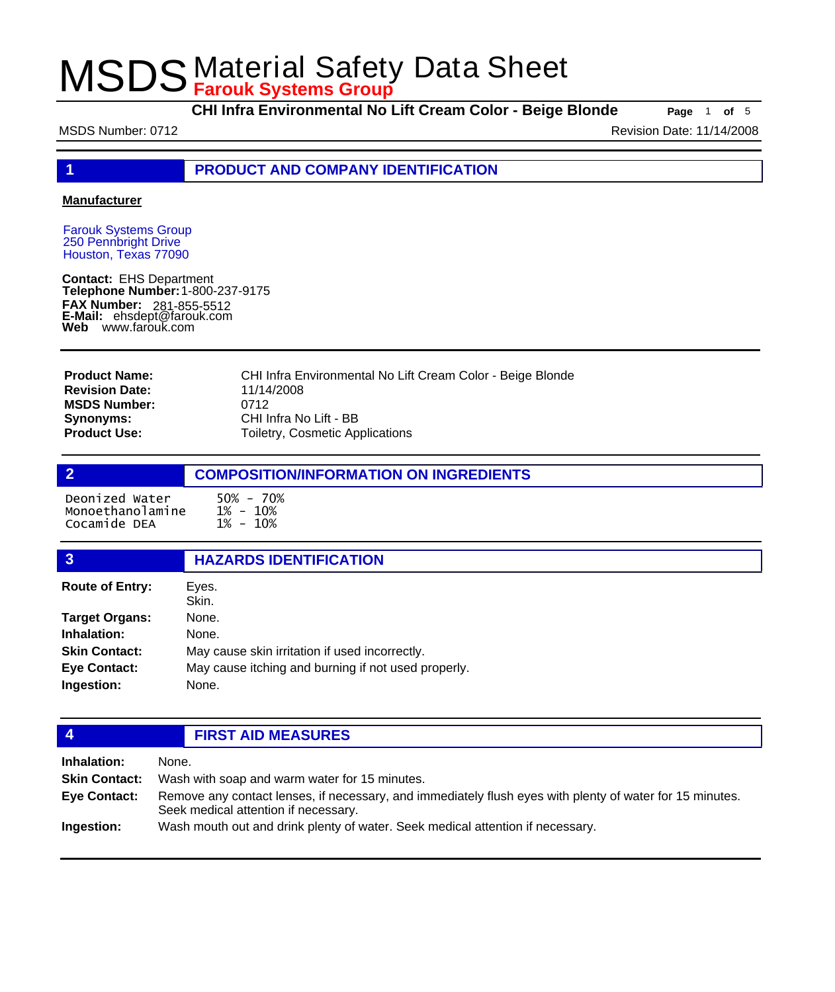**CHI Infra Environmental No Lift Cream Color - Beige Blonde Page** <sup>1</sup> **of** <sup>5</sup>

MSDS Number: 0712 **MSDS Number: 0712** 

**1 PRODUCT AND COMPANY IDENTIFICATION**

### **Manufacturer**

Farouk Systems Group 250 Pennbright Drive Houston, Texas 77090

**Contact:** EHS Department **Telephone Number:** 1-800-237-9175 **FAX Number: FAX Number:** 281-855-5512<br>**E-Mail:** ehsdept@farouk.com **Web** www.farouk.com

CHI Infra Environmental No Lift Cream Color - Beige Blonde 11/14/2008 0712 CHI Infra No Lift - BB Toiletry, Cosmetic Applications **Product Name: Revision Date: MSDS Number: Synonyms: Product Use:**

# **2 COMPOSITION/INFORMATION ON INGREDIENTS** Deonized Water 50% - 70% Monoethanolamine Cocamide DEA

| 3                      | <b>HAZARDS IDENTIFICATION</b>                       |  |
|------------------------|-----------------------------------------------------|--|
| <b>Route of Entry:</b> | Eyes.<br>Skin.                                      |  |
| <b>Target Organs:</b>  | None.                                               |  |
| Inhalation:            | None.                                               |  |
| <b>Skin Contact:</b>   | May cause skin irritation if used incorrectly.      |  |
| <b>Eye Contact:</b>    | May cause itching and burning if not used properly. |  |
| Ingestion:             | None.                                               |  |
|                        |                                                     |  |

# **4 FIRST AID MEASURES**

| Inhalation:          | None.                                                                                                                                            |
|----------------------|--------------------------------------------------------------------------------------------------------------------------------------------------|
| <b>Skin Contact:</b> | Wash with soap and warm water for 15 minutes.                                                                                                    |
| Eye Contact:         | Remove any contact lenses, if necessary, and immediately flush eyes with plenty of water for 15 minutes.<br>Seek medical attention if necessary. |
| Ingestion:           | Wash mouth out and drink plenty of water. Seek medical attention if necessary.                                                                   |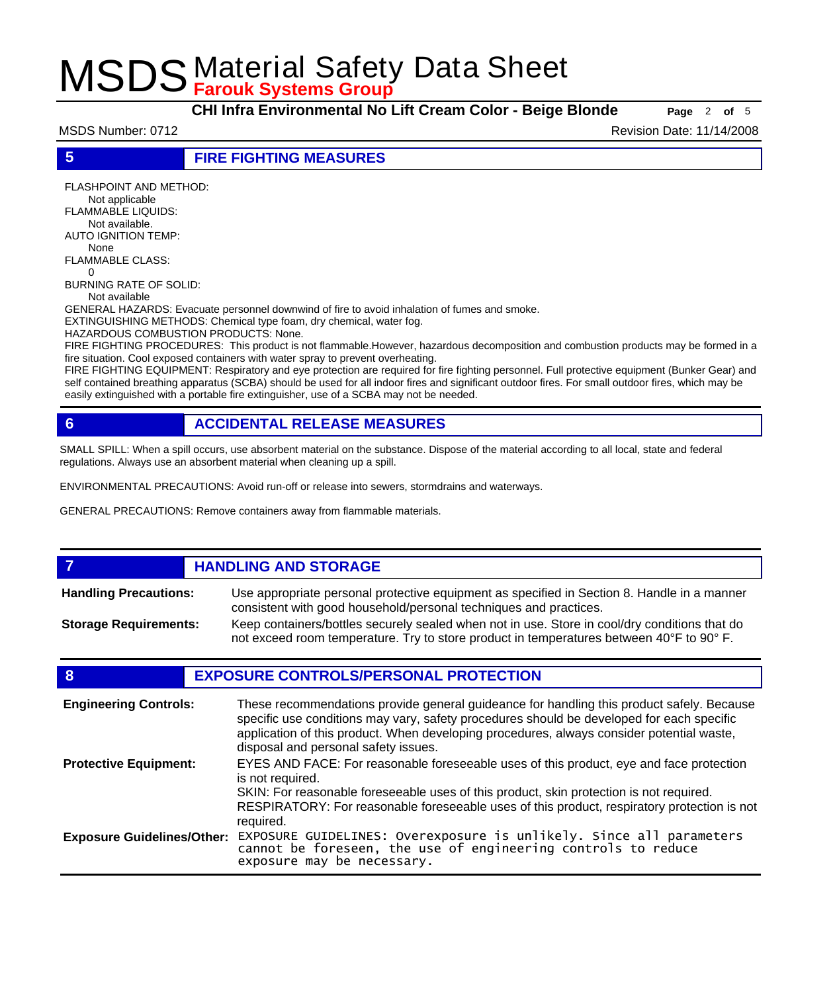**CHI Infra Environmental No Lift Cream Color - Beige Blonde Page** <sup>2</sup> **of** <sup>5</sup>

MSDS Number: 0712 **Revision Date: 11/14/2008** Revision Date: 11/14/2008

**5 FIRE FIGHTING MEASURES**

FLASHPOINT AND METHOD: Not applicable FLAMMABLE LIQUIDS: Not available. AUTO IGNITION TEMP:

 None FLAMMABLE CLASS:  $\Omega$ 

BURNING RATE OF SOLID:

Not available

GENERAL HAZARDS: Evacuate personnel downwind of fire to avoid inhalation of fumes and smoke.

EXTINGUISHING METHODS: Chemical type foam, dry chemical, water fog.

HAZARDOUS COMBUSTION PRODUCTS: None.

FIRE FIGHTING PROCEDURES: This product is not flammable.However, hazardous decomposition and combustion products may be formed in a fire situation. Cool exposed containers with water spray to prevent overheating.

FIRE FIGHTING EQUIPMENT: Respiratory and eye protection are required for fire fighting personnel. Full protective equipment (Bunker Gear) and self contained breathing apparatus (SCBA) should be used for all indoor fires and significant outdoor fires. For small outdoor fires, which may be easily extinguished with a portable fire extinguisher, use of a SCBA may not be needed.

# **6 ACCIDENTAL RELEASE MEASURES**

SMALL SPILL: When a spill occurs, use absorbent material on the substance. Dispose of the material according to all local, state and federal regulations. Always use an absorbent material when cleaning up a spill.

ENVIRONMENTAL PRECAUTIONS: Avoid run-off or release into sewers, stormdrains and waterways.

GENERAL PRECAUTIONS: Remove containers away from flammable materials.

### *HANDLING AND STORAGE* Use appropriate personal protective equipment as specified in Section 8. Handle in a manner consistent with good household/personal techniques and practices. **Handling Precautions:** Keep containers/bottles securely sealed when not in use. Store in cool/dry conditions that do not exceed room temperature. Try to store product in temperatures between 40°F to 90° F. **Storage Requirements:**

# **8 EXPOSURE CONTROLS/PERSONAL PROTECTION**

| <b>Engineering Controls:</b>      | These recommendations provide general guideance for handling this product safely. Because<br>specific use conditions may vary, safety procedures should be developed for each specific<br>application of this product. When developing procedures, always consider potential waste,<br>disposal and personal safety issues. |
|-----------------------------------|-----------------------------------------------------------------------------------------------------------------------------------------------------------------------------------------------------------------------------------------------------------------------------------------------------------------------------|
| <b>Protective Equipment:</b>      | EYES AND FACE: For reasonable foreseeable uses of this product, eye and face protection<br>is not required.<br>SKIN: For reasonable foreseeable uses of this product, skin protection is not required.<br>RESPIRATORY: For reasonable foreseeable uses of this product, respiratory protection is not<br>required.          |
| <b>Exposure Guidelines/Other:</b> | EXPOSURE GUIDELINES: Overexposure is unlikely. Since all parameters<br>cannot be foreseen, the use of engineering controls to reduce<br>exposure may be necessary.                                                                                                                                                          |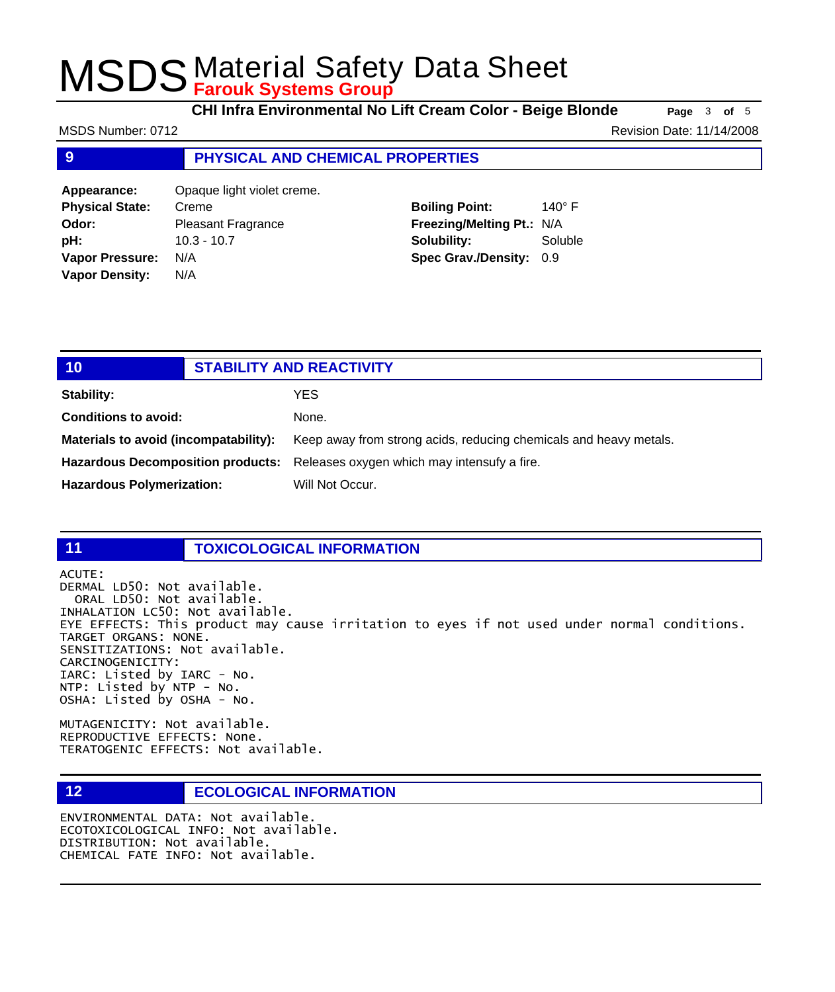**CHI Infra Environmental No Lift Cream Color - Beige Blonde Page** <sup>3</sup> **of** <sup>5</sup>

**9 PHYSICAL AND CHEMICAL PROPERTIES Appearance:** Opaque light violet creme. **Physical State:** Creme **Odor:** Pleasant Fragrance **Boiling Point:** 140° F MSDS Number: 0712 **Revision Date: 11/14/2008** Revision Date: 11/14/2008

**pH:** 10.3 - 10.7 **Vapor Pressure:** N/A **Vapor Density:** N/A

# **Freezing/Melting Pt.:** N/A **Solubility:** Soluble **Spec Grav./Density:** 0.9

| 10                                    | <b>STABILITY AND REACTIVITY</b> |                                                                               |
|---------------------------------------|---------------------------------|-------------------------------------------------------------------------------|
| <b>Stability:</b>                     |                                 | YES.                                                                          |
| <b>Conditions to avoid:</b>           |                                 | None.                                                                         |
| Materials to avoid (incompatability): |                                 | Keep away from strong acids, reducing chemicals and heavy metals.             |
|                                       |                                 | Hazardous Decomposition products: Releases oxygen which may intensufy a fire. |
| <b>Hazardous Polymerization:</b>      |                                 | Will Not Occur.                                                               |

# **11 TOXICOLOGICAL INFORMATION**

ACUTE:

DERMAL LD50: Not available. ORAL LD50: Not available. INHALATION LC50: Not available. EYE EFFECTS: This product may cause irritation to eyes if not used under normal conditions. TARGET ORGANS: NONE. SENSITIZATIONS: Not available. CARCINOGENICITY: IARC: Listed by IARC - No. NTP: Listed by NTP - No. OSHA: Listed by OSHA - No.

MUTAGENICITY: Not available. REPRODUCTIVE EFFECTS: None. TERATOGENIC EFFECTS: Not available.

# **12 ECOLOGICAL INFORMATION**

ENVIRONMENTAL DATA: Not available. ECOTOXICOLOGICAL INFO: Not available. DISTRIBUTION: Not available. CHEMICAL FATE INFO: Not available.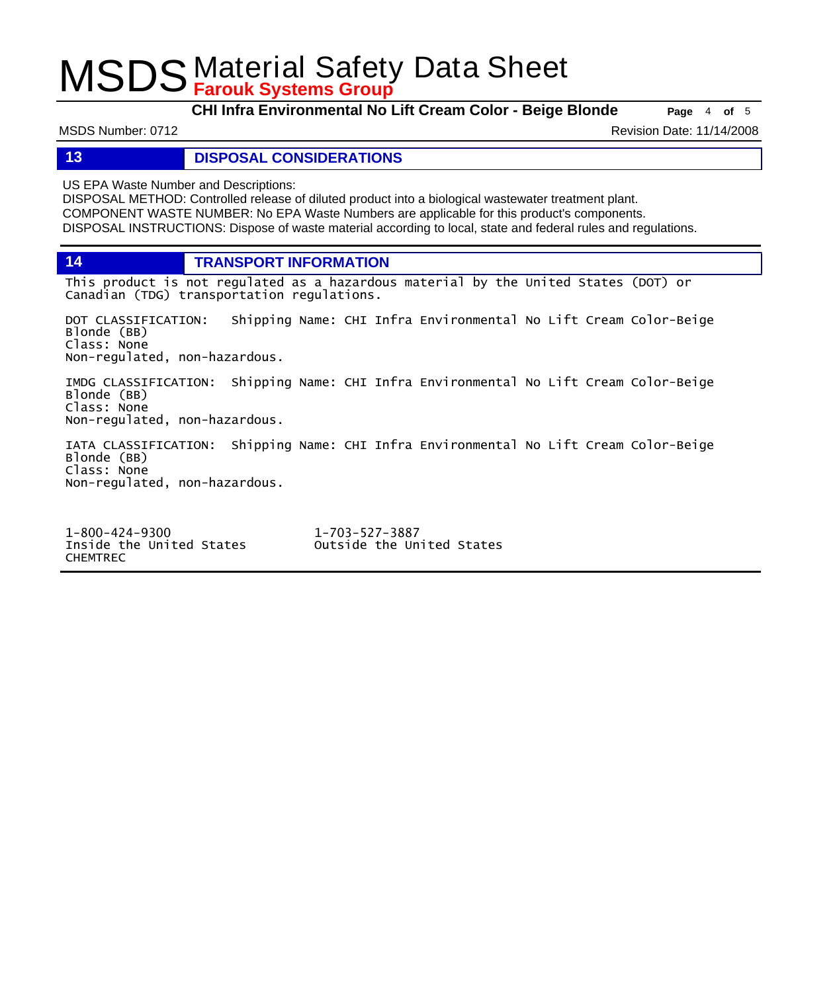**CHI Infra Environmental No Lift Cream Color - Beige Blonde Page** <sup>4</sup> **of** <sup>5</sup>

MSDS Number: 0712 **Revision Date: 11/14/2008** Revision Date: 11/14/2008

**13 DISPOSAL CONSIDERATIONS**

US EPA Waste Number and Descriptions:

DISPOSAL METHOD: Controlled release of diluted product into a biological wastewater treatment plant. COMPONENT WASTE NUMBER: No EPA Waste Numbers are applicable for this product's components. DISPOSAL INSTRUCTIONS: Dispose of waste material according to local, state and federal rules and regulations.

**14 TRANSPORT INFORMATION**

This product is not regulated as a hazardous material by the United States (DOT) or Canadian (TDG) transportation regulations.

DOT CLASSIFICATION: Shipping Name: CHI Infra Environmental No Lift Cream Color-Beige Blonde (BB) Class: None Non-regulated, non-hazardous.

IMDG CLASSIFICATION: Shipping Name: CHI Infra Environmental No Lift Cream Color-Beige Blonde (BB) Class: None Non-regulated, non-hazardous.

IATA CLASSIFICATION: Shipping Name: CHI Infra Environmental No Lift Cream Color-Beige Blonde (BB) Class: None Non-regulated, non-hazardous.

1-800-424-9300 1-703-527-3887 CHEMTREC

Outside the United States